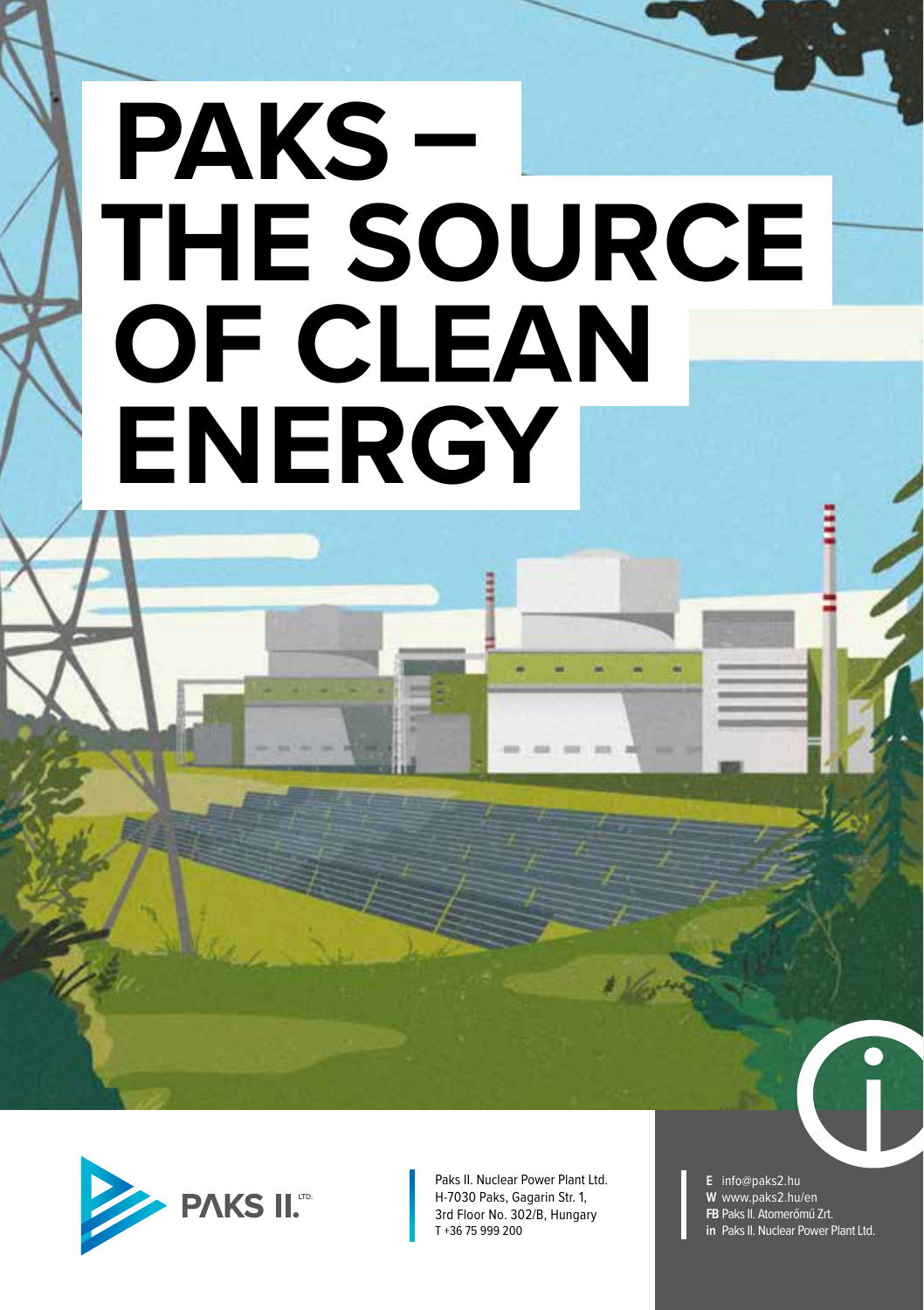## **PAKS – THE SOURCE OF CLEAN ENERGY**



Paks II. Nuclear Power Plant Ltd. H-7030 Paks, Gagarin Str. 1, 3rd Floor No. 302/B, Hungary T +36 75 999 200

**E** info@paks2.hu **W** www.paks2.hu/en **FB** Paks II. Atomerőmű Zrt. **in** Paks II. Nuclear Power Plant Ltd.